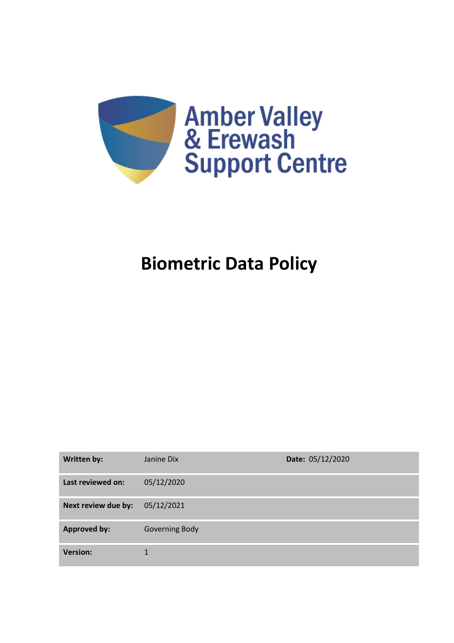

# **Biometric Data Policy**

| <b>Written by:</b>  | Janine Dix     | Date: 05/12/2020 |
|---------------------|----------------|------------------|
| Last reviewed on:   | 05/12/2020     |                  |
| Next review due by: | 05/12/2021     |                  |
| <b>Approved by:</b> | Governing Body |                  |
| <b>Version:</b>     |                |                  |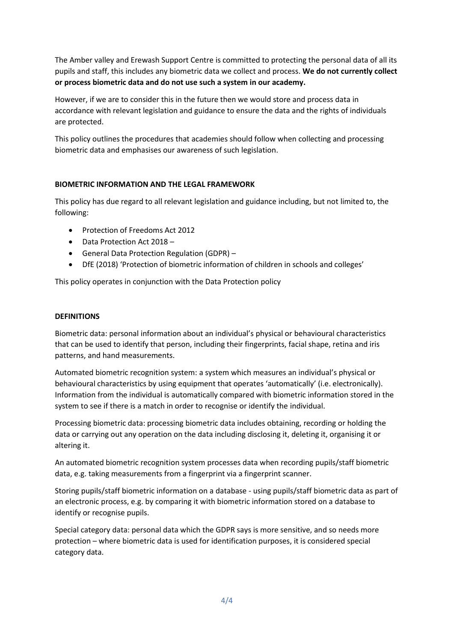The Amber valley and Erewash Support Centre is committed to protecting the personal data of all its pupils and staff, this includes any biometric data we collect and process. **We do not currently collect or process biometric data and do not use such a system in our academy.**

However, if we are to consider this in the future then we would store and process data in accordance with relevant legislation and guidance to ensure the data and the rights of individuals are protected.

This policy outlines the procedures that academies should follow when collecting and processing biometric data and emphasises our awareness of such legislation.

# **BIOMETRIC INFORMATION AND THE LEGAL FRAMEWORK**

This policy has due regard to all relevant legislation and guidance including, but not limited to, the following:

- Protection of Freedoms Act 2012
- Data Protection Act 2018 –
- General Data Protection Regulation (GDPR) –
- DfE (2018) 'Protection of biometric information of children in schools and colleges'

This policy operates in conjunction with the Data Protection policy

#### **DEFINITIONS**

Biometric data: personal information about an individual's physical or behavioural characteristics that can be used to identify that person, including their fingerprints, facial shape, retina and iris patterns, and hand measurements.

Automated biometric recognition system: a system which measures an individual's physical or behavioural characteristics by using equipment that operates 'automatically' (i.e. electronically). Information from the individual is automatically compared with biometric information stored in the system to see if there is a match in order to recognise or identify the individual.

Processing biometric data: processing biometric data includes obtaining, recording or holding the data or carrying out any operation on the data including disclosing it, deleting it, organising it or altering it.

An automated biometric recognition system processes data when recording pupils/staff biometric data, e.g. taking measurements from a fingerprint via a fingerprint scanner.

Storing pupils/staff biometric information on a database - using pupils/staff biometric data as part of an electronic process, e.g. by comparing it with biometric information stored on a database to identify or recognise pupils.

Special category data: personal data which the GDPR says is more sensitive, and so needs more protection – where biometric data is used for identification purposes, it is considered special category data.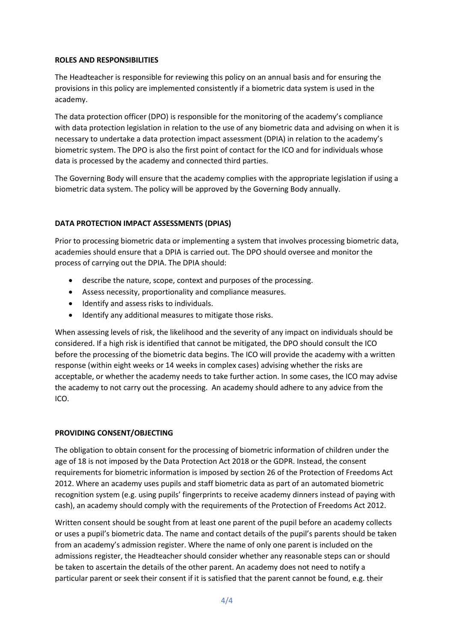#### **ROLES AND RESPONSIBILITIES**

The Headteacher is responsible for reviewing this policy on an annual basis and for ensuring the provisions in this policy are implemented consistently if a biometric data system is used in the academy.

The data protection officer (DPO) is responsible for the monitoring of the academy's compliance with data protection legislation in relation to the use of any biometric data and advising on when it is necessary to undertake a data protection impact assessment (DPIA) in relation to the academy's biometric system. The DPO is also the first point of contact for the ICO and for individuals whose data is processed by the academy and connected third parties.

The Governing Body will ensure that the academy complies with the appropriate legislation if using a biometric data system. The policy will be approved by the Governing Body annually.

# **DATA PROTECTION IMPACT ASSESSMENTS (DPIAS)**

Prior to processing biometric data or implementing a system that involves processing biometric data, academies should ensure that a DPIA is carried out. The DPO should oversee and monitor the process of carrying out the DPIA. The DPIA should:

- describe the nature, scope, context and purposes of the processing.
- Assess necessity, proportionality and compliance measures.
- Identify and assess risks to individuals.
- Identify any additional measures to mitigate those risks.

When assessing levels of risk, the likelihood and the severity of any impact on individuals should be considered. If a high risk is identified that cannot be mitigated, the DPO should consult the ICO before the processing of the biometric data begins. The ICO will provide the academy with a written response (within eight weeks or 14 weeks in complex cases) advising whether the risks are acceptable, or whether the academy needs to take further action. In some cases, the ICO may advise the academy to not carry out the processing. An academy should adhere to any advice from the ICO.

#### **PROVIDING CONSENT/OBJECTING**

The obligation to obtain consent for the processing of biometric information of children under the age of 18 is not imposed by the Data Protection Act 2018 or the GDPR. Instead, the consent requirements for biometric information is imposed by section 26 of the Protection of Freedoms Act 2012. Where an academy uses pupils and staff biometric data as part of an automated biometric recognition system (e.g. using pupils' fingerprints to receive academy dinners instead of paying with cash), an academy should comply with the requirements of the Protection of Freedoms Act 2012.

Written consent should be sought from at least one parent of the pupil before an academy collects or uses a pupil's biometric data. The name and contact details of the pupil's parents should be taken from an academy's admission register. Where the name of only one parent is included on the admissions register, the Headteacher should consider whether any reasonable steps can or should be taken to ascertain the details of the other parent. An academy does not need to notify a particular parent or seek their consent if it is satisfied that the parent cannot be found, e.g. their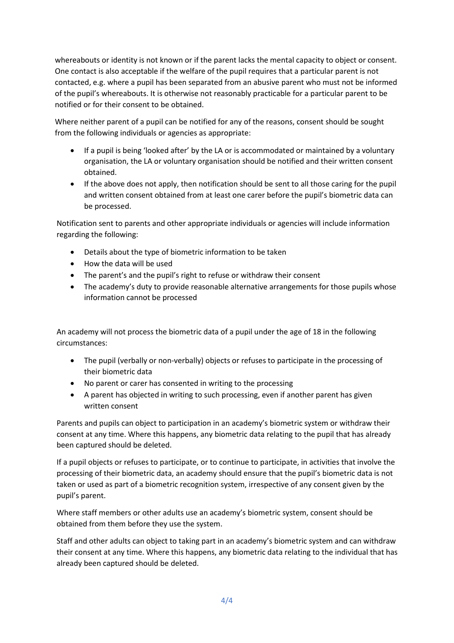whereabouts or identity is not known or if the parent lacks the mental capacity to object or consent. One contact is also acceptable if the welfare of the pupil requires that a particular parent is not contacted, e.g. where a pupil has been separated from an abusive parent who must not be informed of the pupil's whereabouts. It is otherwise not reasonably practicable for a particular parent to be notified or for their consent to be obtained.

Where neither parent of a pupil can be notified for any of the reasons, consent should be sought from the following individuals or agencies as appropriate:

- If a pupil is being 'looked after' by the LA or is accommodated or maintained by a voluntary organisation, the LA or voluntary organisation should be notified and their written consent obtained.
- If the above does not apply, then notification should be sent to all those caring for the pupil and written consent obtained from at least one carer before the pupil's biometric data can be processed.

Notification sent to parents and other appropriate individuals or agencies will include information regarding the following:

- Details about the type of biometric information to be taken
- How the data will be used
- The parent's and the pupil's right to refuse or withdraw their consent
- The academy's duty to provide reasonable alternative arrangements for those pupils whose information cannot be processed

An academy will not process the biometric data of a pupil under the age of 18 in the following circumstances:

- The pupil (verbally or non-verbally) objects or refuses to participate in the processing of their biometric data
- No parent or carer has consented in writing to the processing
- A parent has objected in writing to such processing, even if another parent has given written consent

Parents and pupils can object to participation in an academy's biometric system or withdraw their consent at any time. Where this happens, any biometric data relating to the pupil that has already been captured should be deleted.

If a pupil objects or refuses to participate, or to continue to participate, in activities that involve the processing of their biometric data, an academy should ensure that the pupil's biometric data is not taken or used as part of a biometric recognition system, irrespective of any consent given by the pupil's parent.

Where staff members or other adults use an academy's biometric system, consent should be obtained from them before they use the system.

Staff and other adults can object to taking part in an academy's biometric system and can withdraw their consent at any time. Where this happens, any biometric data relating to the individual that has already been captured should be deleted.